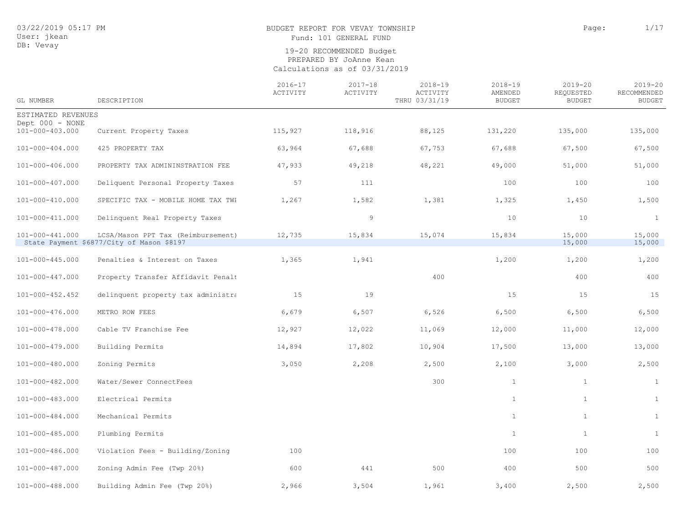## BUDGET REPORT FOR VEVAY TOWNSHIP PAGE 2001 1/17

Fund: 101 GENERAL FUND

| GL NUMBER                          | DESCRIPTION                                                                     | $2016 - 17$<br>ACTIVITY | $2017 - 18$<br>ACTIVITY | $2018 - 19$<br>ACTIVITY<br>THRU 03/31/19 | $2018 - 19$<br>AMENDED<br><b>BUDGET</b> | $2019 - 20$<br>REQUESTED<br><b>BUDGET</b> | $2019 - 20$<br>RECOMMENDED<br><b>BUDGET</b> |
|------------------------------------|---------------------------------------------------------------------------------|-------------------------|-------------------------|------------------------------------------|-----------------------------------------|-------------------------------------------|---------------------------------------------|
| ESTIMATED REVENUES                 |                                                                                 |                         |                         |                                          |                                         |                                           |                                             |
| Dept 000 - NONE<br>101-000-403.000 | Current Property Taxes                                                          | 115,927                 | 118,916                 | 88,125                                   | 131,220                                 | 135,000                                   | 135,000                                     |
| 101-000-404.000                    | 425 PROPERTY TAX                                                                | 63,964                  | 67,688                  | 67,753                                   | 67,688                                  | 67,500                                    | 67,500                                      |
| 101-000-406.000                    | PROPERTY TAX ADMININSTRATION FEE                                                | 47,933                  | 49,218                  | 48,221                                   | 49,000                                  | 51,000                                    | 51,000                                      |
| 101-000-407.000                    | Deliquent Personal Property Taxes                                               | 57                      | 111                     |                                          | 100                                     | 100                                       | 100                                         |
| 101-000-410.000                    | SPECIFIC TAX - MOBILE HOME TAX TWI                                              | 1,267                   | 1,582                   | 1,381                                    | 1,325                                   | 1,450                                     | 1,500                                       |
| 101-000-411.000                    | Delinquent Real Property Taxes                                                  |                         | 9                       |                                          | 10                                      | 10                                        | $\mathbf{1}$                                |
| 101-000-441.000                    | LCSA/Mason PPT Tax (Reimbursement)<br>State Payment \$6877/City of Mason \$8197 | 12,735                  | 15,834                  | 15,074                                   | 15,834                                  | 15,000<br>15,000                          | 15,000<br>15,000                            |
| 101-000-445.000                    | Penalties & Interest on Taxes                                                   | 1,365                   | 1,941                   |                                          | 1,200                                   | 1,200                                     | 1,200                                       |
| 101-000-447.000                    | Property Transfer Affidavit Penalt                                              |                         |                         | 400                                      |                                         | 400                                       | 400                                         |
| 101-000-452.452                    | delinquent property tax administra                                              | 15                      | 19                      |                                          | 15                                      | 15                                        | 15                                          |
| 101-000-476.000                    | METRO ROW FEES                                                                  | 6,679                   | 6,507                   | 6,526                                    | 6,500                                   | 6,500                                     | 6,500                                       |
| 101-000-478.000                    | Cable TV Franchise Fee                                                          | 12,927                  | 12,022                  | 11,069                                   | 12,000                                  | 11,000                                    | 12,000                                      |
| 101-000-479.000                    | Building Permits                                                                | 14,894                  | 17,802                  | 10,904                                   | 17,500                                  | 13,000                                    | 13,000                                      |
| 101-000-480.000                    | Zoning Permits                                                                  | 3,050                   | 2,208                   | 2,500                                    | 2,100                                   | 3,000                                     | 2,500                                       |
| 101-000-482.000                    | Water/Sewer ConnectFees                                                         |                         |                         | 300                                      | $\mathbf{1}$                            | $\mathbf{1}$                              | $\mathbf{1}$                                |
| 101-000-483.000                    | Electrical Permits                                                              |                         |                         |                                          | $\mathbf{1}$                            | $\mathbf{1}$                              | $\mathbf{1}$                                |
| 101-000-484.000                    | Mechanical Permits                                                              |                         |                         |                                          | $\mathbf{1}$                            | $\mathbf{1}$                              | $\mathbf{1}$                                |
| 101-000-485.000                    | Plumbing Permits                                                                |                         |                         |                                          | $\mathbf{1}$                            | $\mathbf{1}$                              | $\mathbf{1}$                                |
| 101-000-486.000                    | Violation Fees - Building/Zoning                                                | 100                     |                         |                                          | 100                                     | 100                                       | 100                                         |
| 101-000-487.000                    | Zoning Admin Fee (Twp 20%)                                                      | 600                     | 441                     | 500                                      | 400                                     | 500                                       | 500                                         |
| 101-000-488.000                    | Building Admin Fee (Twp 20%)                                                    | 2,966                   | 3,504                   | 1,961                                    | 3,400                                   | 2,500                                     | 2,500                                       |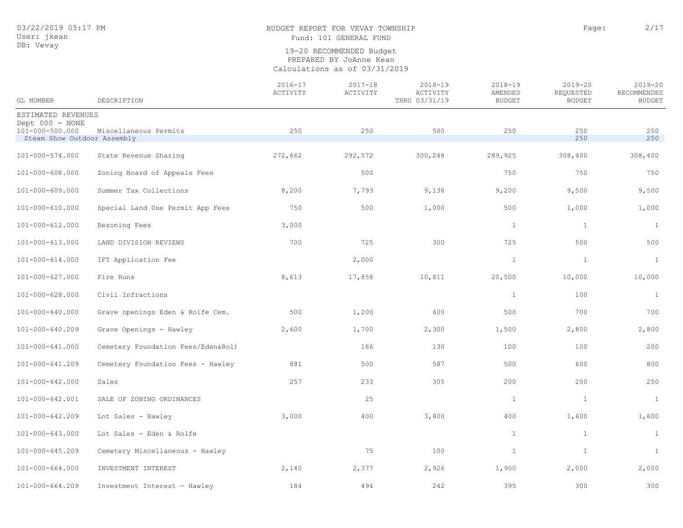# BUDGET REPORT FOR VEVAY TOWNSHIP **Page:** 2/17

Fund: 101 GENERAL FUND

| GL NUMBER                                                         | DESCRIPTION                        | $2016 - 17$<br>ACTIVITY | $2017 - 18$<br>ACTIVITY | $2018 - 19$<br>ACTIVITY<br>THRU 03/31/19 | $2018 - 19$<br>AMENDED<br><b>BUDGET</b> | $2019 - 20$<br>REQUESTED<br><b>BUDGET</b> | $2019 - 20$<br>RECOMMENDED<br><b>BUDGET</b> |
|-------------------------------------------------------------------|------------------------------------|-------------------------|-------------------------|------------------------------------------|-----------------------------------------|-------------------------------------------|---------------------------------------------|
| ESTIMATED REVENUES                                                |                                    |                         |                         |                                          |                                         |                                           |                                             |
| Dept 000 - NONE<br>101-000-500.000<br>Steam Show Outdoor Assembly | Miscellaneous Permits              | 250                     | 250                     | 500                                      | 250                                     | 250<br>250                                | 250<br>250                                  |
| 101-000-574.000                                                   | State Revenue Sharing              | 272,662                 | 292,572                 | 300,248                                  | 289,925                                 | 308,400                                   | 308,400                                     |
| 101-000-608.000                                                   | Zoning Board of Appeals Fees       |                         | 500                     |                                          | 750                                     | 750                                       | 750                                         |
| 101-000-609.000                                                   | Summer Tax Collections             | 8,200                   | 7,793                   | 9,138                                    | 9,200                                   | 9,500                                     | 9,500                                       |
| 101-000-610.000                                                   | Special Land Use Permit App Fees   | 750                     | 500                     | 1,000                                    | 500                                     | 1,000                                     | 1,000                                       |
| 101-000-612.000                                                   | Rezoning Fees                      | 3,000                   |                         |                                          | $\mathbf{1}$                            | $\mathbf{1}$                              | $\mathbf{1}$                                |
| 101-000-613.000                                                   | LAND DIVISION REVIEWS              | 700                     | 725                     | 300                                      | 725                                     | 500                                       | 500                                         |
| $101 - 000 - 614.000$                                             | IFT Application Fee                |                         | 2,000                   |                                          | $\mathbf{1}$                            | $\mathbf{1}$                              | $\mathbf{1}$                                |
| 101-000-627.000                                                   | Fire Runs                          | 8,613                   | 17,858                  | 10,811                                   | 20,500                                  | 10,000                                    | 10,000                                      |
| $101 - 000 - 628.000$                                             | Civil Infractions                  |                         |                         |                                          | $\mathbf{1}$                            | 100                                       | $\mathbf{1}$                                |
| 101-000-640.000                                                   | Grave openings Eden & Rolfe Cem.   | 500                     | 1,200                   | 600                                      | 500                                     | 700                                       | 700                                         |
| 101-000-640.209                                                   | Grave Openings - Hawley            | 2,600                   | 1,700                   | 2,300                                    | 1,500                                   | 2,800                                     | 2,800                                       |
| 101-000-641.000                                                   | Cemetery Foundation Fees/Eden&Roli |                         | 166                     | 130                                      | 100                                     | 100                                       | 200                                         |
| 101-000-641.209                                                   | Cemetery Foundation Fees - Hawley  | 881                     | 500                     | 587                                      | 500                                     | 600                                       | 800                                         |
| 101-000-642.000                                                   | Sales                              | 257                     | 233                     | 305                                      | 200                                     | 250                                       | 250                                         |
| 101-000-642.001                                                   | SALE OF ZONING ORDINANCES          |                         | 25                      |                                          | $\mathbf{1}$                            | $\mathbf{1}$                              | $\mathbf{1}$                                |
| 101-000-642.209                                                   | Lot Sales - Hawley                 | 3,000                   | 400                     | 3,800                                    | 400                                     | 1,600                                     | 1,600                                       |
| $101 - 000 - 643.000$                                             | Lot Sales - Eden & Rolfe           |                         |                         |                                          | $\mathbf{1}$                            | $\mathbf{1}$                              | $\mathbf{1}$                                |
| 101-000-645.209                                                   | Cemetery Miscellaneous - Hawley    |                         | 75                      | 100                                      | $\mathbf{1}$                            | $\mathbf{1}$                              | $\mathbf{1}$                                |
| $101 - 000 - 664.000$                                             | INVESTMENT INTEREST                | 2,140                   | 2,377                   | 2,926                                    | 1,900                                   | 2,000                                     | 2,000                                       |
| $101 - 000 - 664.209$                                             | Investment Interest - Hawley       | 184                     | 494                     | 242                                      | 395                                     | 300                                       | 300                                         |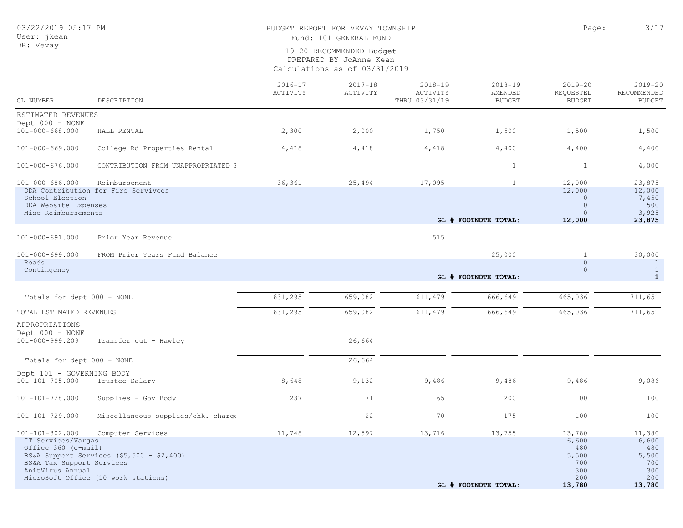# BUDGET REPORT FOR VEVAY TOWNSHIP CONSTRUCTED AND RAGE: 2/17

Fund: 101 GENERAL FUND

| GL NUMBER                                                                                                     | DESCRIPTION                                                                                            | $2016 - 17$<br>ACTIVITY | $2017 - 18$<br>ACTIVITY | $2018 - 19$<br>ACTIVITY<br>THRU 03/31/19 | $2018 - 19$<br>AMENDED<br><b>BUDGET</b> | $2019 - 20$<br>REQUESTED<br><b>BUDGET</b>                      | $2019 - 20$<br>RECOMMENDED<br><b>BUDGET</b>                    |
|---------------------------------------------------------------------------------------------------------------|--------------------------------------------------------------------------------------------------------|-------------------------|-------------------------|------------------------------------------|-----------------------------------------|----------------------------------------------------------------|----------------------------------------------------------------|
| ESTIMATED REVENUES                                                                                            |                                                                                                        |                         |                         |                                          |                                         |                                                                |                                                                |
| Dept 000 - NONE<br>$101 - 000 - 668.000$                                                                      | HALL RENTAL                                                                                            | 2,300                   | 2,000                   | 1,750                                    | 1,500                                   | 1,500                                                          | 1,500                                                          |
| $101 - 000 - 669.000$                                                                                         | College Rd Properties Rental                                                                           | 4,418                   | 4,418                   | 4,418                                    | 4,400                                   | 4,400                                                          | 4,400                                                          |
| $101 - 000 - 676.000$                                                                                         | CONTRIBUTION FROM UNAPPROPRIATED I                                                                     |                         |                         |                                          | 1                                       | 1                                                              | 4,000                                                          |
| 101-000-686.000<br>School Election<br>DDA Website Expenses<br>Misc Reimbursements                             | Reimbursement<br>DDA Contribution for Fire Servivces                                                   | 36,361                  | 25,494                  | 17,095                                   | $\mathbf{1}$<br>GL # FOOTNOTE TOTAL:    | 12,000<br>12,000<br>$\circ$<br>$\circ$<br>$\circ$<br>12,000    | 23,875<br>12,000<br>7,450<br>500<br>3,925<br>23,875            |
| 101-000-691.000                                                                                               | Prior Year Revenue                                                                                     |                         |                         | 515                                      |                                         |                                                                |                                                                |
| $101 - 000 - 699.000$<br>Roads<br>Contingency                                                                 | FROM Prior Years Fund Balance                                                                          |                         |                         |                                          | 25,000                                  | $\mathbf{1}$<br>$\circ$<br>$\circ$                             | 30,000<br>$\mathbf{1}$<br>$\mathbf{1}$                         |
|                                                                                                               |                                                                                                        |                         |                         |                                          | GL # FOOTNOTE TOTAL:                    |                                                                | $\mathbf{1}$                                                   |
| Totals for dept 000 - NONE                                                                                    |                                                                                                        | 631,295                 | 659,082                 | 611,479                                  | 666,649                                 | 665,036                                                        | 711,651                                                        |
| TOTAL ESTIMATED REVENUES                                                                                      |                                                                                                        | 631,295                 | 659,082                 | 611, 479                                 | 666,649                                 | 665,036                                                        | 711,651                                                        |
| APPROPRIATIONS<br>Dept 000 - NONE<br>101-000-999.209                                                          | Transfer out - Hawley                                                                                  |                         | 26,664                  |                                          |                                         |                                                                |                                                                |
| Totals for dept 000 - NONE                                                                                    |                                                                                                        |                         | 26,664                  |                                          |                                         |                                                                |                                                                |
| Dept 101 - GOVERNING BODY<br>101-101-705.000                                                                  | Trustee Salary                                                                                         | 8,648                   | 9,132                   | 9,486                                    | 9,486                                   | 9,486                                                          | 9,086                                                          |
| 101-101-728.000                                                                                               | Supplies - Gov Body                                                                                    | 237                     | 71                      | 65                                       | 200                                     | 100                                                            | 100                                                            |
| 101-101-729.000                                                                                               | Miscellaneous supplies/chk. charge                                                                     |                         | 22                      | 70                                       | 175                                     | 100                                                            | 100                                                            |
| 101-101-802.000<br>IT Services/Vargas<br>Office 360 (e-mail)<br>BS&A Tax Support Services<br>AnitVirus Annual | Computer Services<br>BS&A Support Services $(55, 500 - 2, 400)$<br>MicroSoft Office (10 work stations) | 11,748                  | 12,597                  | 13,716                                   | 13,755<br>GL # FOOTNOTE TOTAL:          | 13,780<br>6,600<br>480<br>5,500<br>700<br>300<br>200<br>13,780 | 11,380<br>6,600<br>480<br>5,500<br>700<br>300<br>200<br>13,780 |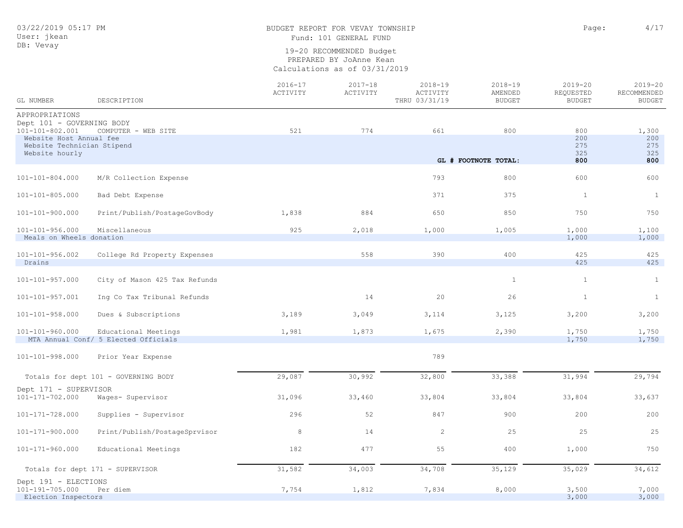## BUDGET REPORT FOR VEVAY TOWNSHIP **Page:** 4/17 Fund: 101 GENERAL FUND

| APPROPRIATIONS<br>Dept 101 - GOVERNING BODY<br>774<br>101-101-802.001<br>521<br>661<br>800<br>COMPUTER - WEB SITE<br>800<br>Website Host Annual fee<br>200<br>275<br>Website Technician Stipend<br>325<br>Website hourly<br>GL # FOOTNOTE TOTAL:<br>800<br>793<br>800<br>600<br>101-101-804.000<br>M/R Collection Expense<br>371<br>$\mathbf{1}$<br>101-101-805.000<br>375<br>Bad Debt Expense<br>1,838<br>884<br>650<br>850<br>750<br>101-101-900.000<br>Print/Publish/PostageGovBody<br>$101 - 101 - 956.000$<br>Miscellaneous<br>925<br>2,018<br>1,000<br>1,005<br>1,000<br>Meals on Wheels donation<br>1,000<br>400<br>101-101-956.002<br>558<br>390<br>425<br>College Rd Property Expenses<br>425<br>Drains<br>$\mathbf{1}$<br>101-101-957.000<br>City of Mason 425 Tax Refunds<br>1<br>14<br>20<br>26<br>$\mathbf{1}$<br>$101 - 101 - 957.001$<br>Ing Co Tax Tribunal Refunds<br>3,189<br>101-101-958.000<br>Dues & Subscriptions<br>3,049<br>3,114<br>3,125<br>3,200<br>$101 - 101 - 960.000$<br>1,981<br>1,873<br>2,390<br>1,750<br>Educational Meetings<br>1,675<br>MTA Annual Conf/ 5 Elected Officials<br>1,750 | GL NUMBER       | DESCRIPTION        | $2016 - 17$<br>ACTIVITY | $2017 - 18$<br>ACTIVITY | $2018 - 19$<br>ACTIVITY<br>THRU 03/31/19 | $2018 - 19$<br>AMENDED<br><b>BUDGET</b> | $2019 - 20$<br>REQUESTED<br><b>BUDGET</b> | $2019 - 20$<br>RECOMMENDED<br><b>BUDGET</b> |
|----------------------------------------------------------------------------------------------------------------------------------------------------------------------------------------------------------------------------------------------------------------------------------------------------------------------------------------------------------------------------------------------------------------------------------------------------------------------------------------------------------------------------------------------------------------------------------------------------------------------------------------------------------------------------------------------------------------------------------------------------------------------------------------------------------------------------------------------------------------------------------------------------------------------------------------------------------------------------------------------------------------------------------------------------------------------------------------------------------------------------|-----------------|--------------------|-------------------------|-------------------------|------------------------------------------|-----------------------------------------|-------------------------------------------|---------------------------------------------|
|                                                                                                                                                                                                                                                                                                                                                                                                                                                                                                                                                                                                                                                                                                                                                                                                                                                                                                                                                                                                                                                                                                                            |                 |                    |                         |                         |                                          |                                         |                                           |                                             |
|                                                                                                                                                                                                                                                                                                                                                                                                                                                                                                                                                                                                                                                                                                                                                                                                                                                                                                                                                                                                                                                                                                                            |                 |                    |                         |                         |                                          |                                         |                                           |                                             |
|                                                                                                                                                                                                                                                                                                                                                                                                                                                                                                                                                                                                                                                                                                                                                                                                                                                                                                                                                                                                                                                                                                                            |                 |                    |                         |                         |                                          |                                         |                                           | 1,300                                       |
|                                                                                                                                                                                                                                                                                                                                                                                                                                                                                                                                                                                                                                                                                                                                                                                                                                                                                                                                                                                                                                                                                                                            |                 |                    |                         |                         |                                          |                                         |                                           | 200                                         |
|                                                                                                                                                                                                                                                                                                                                                                                                                                                                                                                                                                                                                                                                                                                                                                                                                                                                                                                                                                                                                                                                                                                            |                 |                    |                         |                         |                                          |                                         |                                           | 275<br>325                                  |
|                                                                                                                                                                                                                                                                                                                                                                                                                                                                                                                                                                                                                                                                                                                                                                                                                                                                                                                                                                                                                                                                                                                            |                 |                    |                         |                         |                                          |                                         |                                           | 800                                         |
|                                                                                                                                                                                                                                                                                                                                                                                                                                                                                                                                                                                                                                                                                                                                                                                                                                                                                                                                                                                                                                                                                                                            |                 |                    |                         |                         |                                          |                                         |                                           | 600                                         |
|                                                                                                                                                                                                                                                                                                                                                                                                                                                                                                                                                                                                                                                                                                                                                                                                                                                                                                                                                                                                                                                                                                                            |                 |                    |                         |                         |                                          |                                         |                                           |                                             |
|                                                                                                                                                                                                                                                                                                                                                                                                                                                                                                                                                                                                                                                                                                                                                                                                                                                                                                                                                                                                                                                                                                                            |                 |                    |                         |                         |                                          |                                         |                                           | <sup>1</sup>                                |
|                                                                                                                                                                                                                                                                                                                                                                                                                                                                                                                                                                                                                                                                                                                                                                                                                                                                                                                                                                                                                                                                                                                            |                 |                    |                         |                         |                                          |                                         |                                           | 750                                         |
|                                                                                                                                                                                                                                                                                                                                                                                                                                                                                                                                                                                                                                                                                                                                                                                                                                                                                                                                                                                                                                                                                                                            |                 |                    |                         |                         |                                          |                                         |                                           | 1,100                                       |
|                                                                                                                                                                                                                                                                                                                                                                                                                                                                                                                                                                                                                                                                                                                                                                                                                                                                                                                                                                                                                                                                                                                            |                 |                    |                         |                         |                                          |                                         |                                           | 1,000                                       |
|                                                                                                                                                                                                                                                                                                                                                                                                                                                                                                                                                                                                                                                                                                                                                                                                                                                                                                                                                                                                                                                                                                                            |                 |                    |                         |                         |                                          |                                         |                                           |                                             |
|                                                                                                                                                                                                                                                                                                                                                                                                                                                                                                                                                                                                                                                                                                                                                                                                                                                                                                                                                                                                                                                                                                                            |                 |                    |                         |                         |                                          |                                         |                                           | 425                                         |
|                                                                                                                                                                                                                                                                                                                                                                                                                                                                                                                                                                                                                                                                                                                                                                                                                                                                                                                                                                                                                                                                                                                            |                 |                    |                         |                         |                                          |                                         |                                           | 425                                         |
|                                                                                                                                                                                                                                                                                                                                                                                                                                                                                                                                                                                                                                                                                                                                                                                                                                                                                                                                                                                                                                                                                                                            |                 |                    |                         |                         |                                          |                                         |                                           | $\mathbf{1}$                                |
|                                                                                                                                                                                                                                                                                                                                                                                                                                                                                                                                                                                                                                                                                                                                                                                                                                                                                                                                                                                                                                                                                                                            |                 |                    |                         |                         |                                          |                                         |                                           | $\mathbf{1}$                                |
|                                                                                                                                                                                                                                                                                                                                                                                                                                                                                                                                                                                                                                                                                                                                                                                                                                                                                                                                                                                                                                                                                                                            |                 |                    |                         |                         |                                          |                                         |                                           | 3,200                                       |
|                                                                                                                                                                                                                                                                                                                                                                                                                                                                                                                                                                                                                                                                                                                                                                                                                                                                                                                                                                                                                                                                                                                            |                 |                    |                         |                         |                                          |                                         |                                           | 1,750                                       |
|                                                                                                                                                                                                                                                                                                                                                                                                                                                                                                                                                                                                                                                                                                                                                                                                                                                                                                                                                                                                                                                                                                                            |                 |                    |                         |                         |                                          |                                         |                                           | 1,750                                       |
|                                                                                                                                                                                                                                                                                                                                                                                                                                                                                                                                                                                                                                                                                                                                                                                                                                                                                                                                                                                                                                                                                                                            | 101-101-998.000 | Prior Year Expense |                         |                         | 789                                      |                                         |                                           |                                             |
| 30,992<br>32,800<br>33,388<br>31,994<br>29,087<br>Totals for dept 101 - GOVERNING BODY                                                                                                                                                                                                                                                                                                                                                                                                                                                                                                                                                                                                                                                                                                                                                                                                                                                                                                                                                                                                                                     |                 |                    |                         |                         |                                          |                                         |                                           | 29,794                                      |
|                                                                                                                                                                                                                                                                                                                                                                                                                                                                                                                                                                                                                                                                                                                                                                                                                                                                                                                                                                                                                                                                                                                            |                 |                    |                         |                         |                                          |                                         |                                           |                                             |
| Dept 171 - SUPERVISOR<br>101-171-702.000<br>31,096<br>33,460<br>33,804<br>33,804<br>33,804<br>Wages- Supervisor                                                                                                                                                                                                                                                                                                                                                                                                                                                                                                                                                                                                                                                                                                                                                                                                                                                                                                                                                                                                            |                 |                    |                         |                         |                                          |                                         |                                           | 33,637                                      |
| 52<br>847<br>101-171-728.000<br>Supplies - Supervisor<br>296<br>900<br>200                                                                                                                                                                                                                                                                                                                                                                                                                                                                                                                                                                                                                                                                                                                                                                                                                                                                                                                                                                                                                                                 |                 |                    |                         |                         |                                          |                                         |                                           | 200                                         |
| 8<br>14<br>2<br>25<br>25<br>101-171-900.000<br>Print/Publish/PostageSprvisor                                                                                                                                                                                                                                                                                                                                                                                                                                                                                                                                                                                                                                                                                                                                                                                                                                                                                                                                                                                                                                               |                 |                    |                         |                         |                                          |                                         |                                           | 25                                          |
| 182<br>477<br>400<br>$101 - 171 - 960.000$<br>Educational Meetings<br>55<br>1,000                                                                                                                                                                                                                                                                                                                                                                                                                                                                                                                                                                                                                                                                                                                                                                                                                                                                                                                                                                                                                                          |                 |                    |                         |                         |                                          |                                         |                                           | 750                                         |
| 34,003<br>34,708<br>35,129<br>35,029<br>31,582<br>Totals for dept 171 - SUPERVISOR                                                                                                                                                                                                                                                                                                                                                                                                                                                                                                                                                                                                                                                                                                                                                                                                                                                                                                                                                                                                                                         |                 |                    |                         |                         |                                          |                                         |                                           | 34,612                                      |
| Dept 191 - ELECTIONS                                                                                                                                                                                                                                                                                                                                                                                                                                                                                                                                                                                                                                                                                                                                                                                                                                                                                                                                                                                                                                                                                                       |                 |                    |                         |                         |                                          |                                         |                                           |                                             |
| 7,754<br>101-191-705.000<br>1,812<br>7,834<br>8,000<br>3,500<br>Per diem<br>3,000<br>Election Inspectors                                                                                                                                                                                                                                                                                                                                                                                                                                                                                                                                                                                                                                                                                                                                                                                                                                                                                                                                                                                                                   |                 |                    |                         |                         |                                          |                                         |                                           | 7,000<br>3,000                              |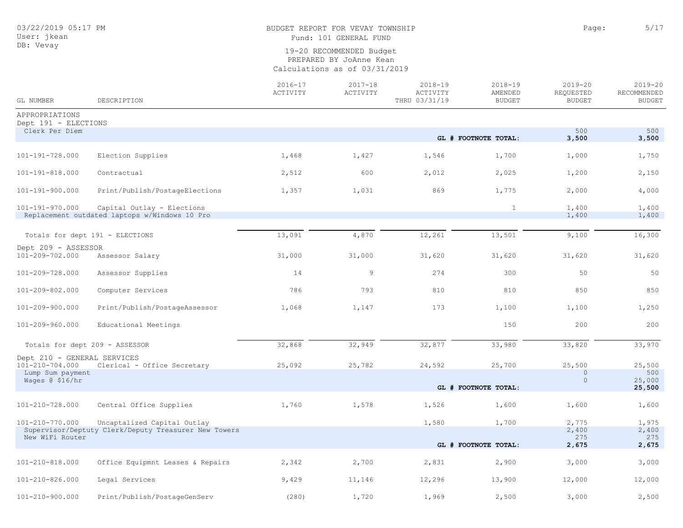### BUDGET REPORT FOR VEVAY TOWNSHIP **Page:** 5/17 Fund: 101 GENERAL FUND

| GL NUMBER                                      | DESCRIPTION                                                                 | $2016 - 17$<br>ACTIVITY | $2017 - 18$<br>ACTIVITY | $2018 - 19$<br>ACTIVITY<br>THRU 03/31/19 | $2018 - 19$<br>AMENDED<br><b>BUDGET</b> | $2019 - 20$<br>REQUESTED<br><b>BUDGET</b> | $2019 - 20$<br>RECOMMENDED<br><b>BUDGET</b> |
|------------------------------------------------|-----------------------------------------------------------------------------|-------------------------|-------------------------|------------------------------------------|-----------------------------------------|-------------------------------------------|---------------------------------------------|
| APPROPRIATIONS                                 |                                                                             |                         |                         |                                          |                                         |                                           |                                             |
| Dept 191 - ELECTIONS<br>Clerk Per Diem         |                                                                             |                         |                         |                                          |                                         | 500                                       | 500                                         |
|                                                |                                                                             |                         |                         |                                          | GL # FOOTNOTE TOTAL:                    | 3,500                                     | 3,500                                       |
| 101-191-728.000                                | Election Supplies                                                           | 1,468                   | 1,427                   | 1,546                                    | 1,700                                   | 1,000                                     | 1,750                                       |
| 101-191-818.000                                | Contractual                                                                 | 2,512                   | 600                     | 2,012                                    | 2,025                                   | 1,200                                     | 2,150                                       |
| 101-191-900.000                                | Print/Publish/PostageElections                                              | 1,357                   | 1,031                   | 869                                      | 1,775                                   | 2,000                                     | 4,000                                       |
| 101-191-970.000                                | Capital Outlay - Elections<br>Replacement outdated laptops w/Windows 10 Pro |                         |                         |                                          | $\mathbf{1}$                            | 1,400<br>1,400                            | 1,400<br>1,400                              |
|                                                | Totals for dept 191 - ELECTIONS                                             | 13,091                  | 4,870                   | 12,261                                   | 13,501                                  | 9,100                                     | 16,300                                      |
| Dept 209 - ASSESSOR                            |                                                                             |                         |                         |                                          |                                         |                                           |                                             |
| 101-209-702.000                                | Assessor Salary                                                             | 31,000                  | 31,000                  | 31,620                                   | 31,620                                  | 31,620                                    | 31,620                                      |
| 101-209-728.000                                | Assessor Supplies                                                           | 14                      | 9                       | 274                                      | 300                                     | 50                                        | 50                                          |
| 101-209-802.000                                | Computer Services                                                           | 786                     | 793                     | 810                                      | 810                                     | 850                                       | 850                                         |
| 101-209-900.000                                | Print/Publish/PostageAssessor                                               | 1,068                   | 1,147                   | 173                                      | 1,100                                   | 1,100                                     | 1,250                                       |
| 101-209-960.000                                | Educational Meetings                                                        |                         |                         |                                          | 150                                     | 200                                       | 200                                         |
|                                                | Totals for dept 209 - ASSESSOR                                              | 32,868                  | 32,949                  | 32,877                                   | 33,980                                  | 33,820                                    | 33,970                                      |
| Dept 210 - GENERAL SERVICES<br>101-210-704.000 | Clerical - Office Secretary                                                 | 25,092                  | 25,782                  | 24,592                                   | 25,700                                  | 25,500                                    | 25,500                                      |
| Lump Sum payment                               |                                                                             |                         |                         |                                          |                                         | $\circ$                                   | 500                                         |
| Wages @ \$16/hr                                |                                                                             |                         |                         |                                          | GL # FOOTNOTE TOTAL:                    | $\circ$                                   | 25,000                                      |
|                                                |                                                                             |                         |                         |                                          |                                         |                                           | 25,500                                      |
| 101-210-728.000                                | Central Office Supplies                                                     | 1,760                   | 1,578                   | 1,526                                    | 1,600                                   | 1,600                                     | 1,600                                       |
| 101-210-770.000                                | Uncaptalized Capital Outlay                                                 |                         |                         | 1,580                                    | 1,700                                   | 2,775                                     | 1,975                                       |
|                                                | Supervisor/Deptuty Clerk/Deputy Treasurer New Towers                        |                         |                         |                                          |                                         | 2,400                                     | 2,400                                       |
| New WiFi Router                                |                                                                             |                         |                         |                                          | GL # FOOTNOTE TOTAL:                    | 275<br>2,675                              | 275<br>2,675                                |
| 101-210-818.000                                | Office Equipmnt Leases & Repairs                                            | 2,342                   | 2,700                   | 2,831                                    | 2,900                                   | 3,000                                     | 3,000                                       |
| 101-210-826.000                                | Legal Services                                                              | 9,429                   | 11,146                  | 12,296                                   | 13,900                                  | 12,000                                    | 12,000                                      |
| 101-210-900.000                                | Print/Publish/PostageGenServ                                                | (280)                   | 1,720                   | 1,969                                    | 2,500                                   | 3,000                                     | 2,500                                       |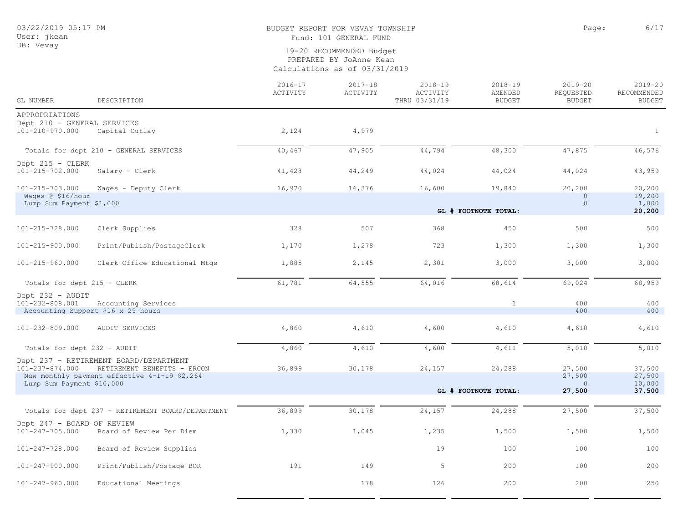## BUDGET REPORT FOR VEVAY TOWNSHIP **Page:** 6/17 Fund: 101 GENERAL FUND

19-20 RECOMMENDED Budget

PREPARED BY JoAnne Kean

Calculations as of 03/31/2019

| GL NUMBER                                           | DESCRIPTION                                                           | $2016 - 17$<br>ACTIVITY | $2017 - 18$<br>ACTIVITY | $2018 - 19$<br>ACTIVITY<br>THRU 03/31/19 | $2018 - 19$<br>AMENDED<br><b>BUDGET</b> | $2019 - 20$<br><b>REQUESTED</b><br><b>BUDGET</b> | $2019 - 20$<br>RECOMMENDED<br><b>BUDGET</b> |
|-----------------------------------------------------|-----------------------------------------------------------------------|-------------------------|-------------------------|------------------------------------------|-----------------------------------------|--------------------------------------------------|---------------------------------------------|
| APPROPRIATIONS                                      |                                                                       |                         |                         |                                          |                                         |                                                  |                                             |
| Dept 210 - GENERAL SERVICES<br>101-210-970.000      | Capital Outlay                                                        | 2,124                   | 4,979                   |                                          |                                         |                                                  | $\mathbf{1}$                                |
|                                                     | Totals for dept 210 - GENERAL SERVICES                                | 40,467                  | 47,905                  | 44,794                                   | 48,300                                  | 47,875                                           | 46,576                                      |
| Dept 215 - CLERK<br>101-215-702.000                 | Salary - Clerk                                                        | 41,428                  | 44,249                  | 44,024                                   | 44,024                                  | 44,024                                           | 43,959                                      |
| 101-215-703.000<br>Wages @ \$16/hour                | Wages - Deputy Clerk                                                  | 16,970                  | 16,376                  | 16,600                                   | 19,840                                  | 20,200<br>$\Omega$                               | 20,200<br>19,200                            |
| Lump Sum Payment \$1,000                            |                                                                       |                         |                         |                                          | GL # FOOTNOTE TOTAL:                    | $\overline{0}$                                   | 1,000<br>20,200                             |
| 101-215-728.000                                     | Clerk Supplies                                                        | 328                     | 507                     | 368                                      | 450                                     | 500                                              | 500                                         |
| 101-215-900.000                                     | Print/Publish/PostageClerk                                            | 1,170                   | 1,278                   | 723                                      | 1,300                                   | 1,300                                            | 1,300                                       |
| 101-215-960.000                                     | Clerk Office Educational Mtgs                                         | 1,885                   | 2,145                   | 2,301                                    | 3,000                                   | 3,000                                            | 3,000                                       |
| Totals for dept 215 - CLERK                         |                                                                       | 61,781                  | 64,555                  | 64,016                                   | 68,614                                  | 69,024                                           | 68,959                                      |
| Dept 232 - AUDIT<br>101-232-808.001                 | Accounting Services<br>Accounting Support \$16 x 25 hours             |                         |                         |                                          | $\mathbf{1}$                            | 400<br>400                                       | 400<br>400                                  |
| 101-232-809.000                                     | AUDIT SERVICES                                                        | 4,860                   | 4,610                   | 4,600                                    | 4,610                                   | 4,610                                            | 4,610                                       |
| Totals for dept 232 - AUDIT                         |                                                                       | 4,860                   | 4,610                   | 4,600                                    | 4,611                                   | 5,010                                            | 5,010                                       |
| 101-237-874.000                                     | Dept 237 - RETIREMENT BOARD/DEPARTMENT<br>RETIREMENT BENEFITS - ERCON | 36,899                  | 30,178                  | 24,157                                   | 24,288                                  | 27,500                                           | 37,500                                      |
| Lump Sum Payment \$10,000                           | New monthly payment effective 4-1-19 \$2,264                          |                         |                         |                                          | GL # FOOTNOTE TOTAL:                    | 27,500<br>$\mathbf{0}$<br>27,500                 | 27,500<br>10,000<br>37,500                  |
|                                                     |                                                                       |                         |                         |                                          |                                         |                                                  |                                             |
|                                                     | Totals for dept 237 - RETIREMENT BOARD/DEPARTMENT                     | 36,899                  | 30,178                  | 24,157                                   | 24,288                                  | 27,500                                           | 37,500                                      |
| Dept 247 - BOARD OF REVIEW<br>$101 - 247 - 705.000$ | Board of Review Per Diem                                              | 1,330                   | 1,045                   | 1,235                                    | 1,500                                   | 1,500                                            | 1,500                                       |
| 101-247-728.000                                     | Board of Review Supplies                                              |                         |                         | 19                                       | 100                                     | 100                                              | 100                                         |
| 101-247-900.000                                     | Print/Publish/Postage BOR                                             | 191                     | 149                     | 5                                        | 200                                     | 100                                              | 200                                         |
| 101-247-960.000                                     | Educational Meetings                                                  |                         | 178                     | 126                                      | 200                                     | 200                                              | 250                                         |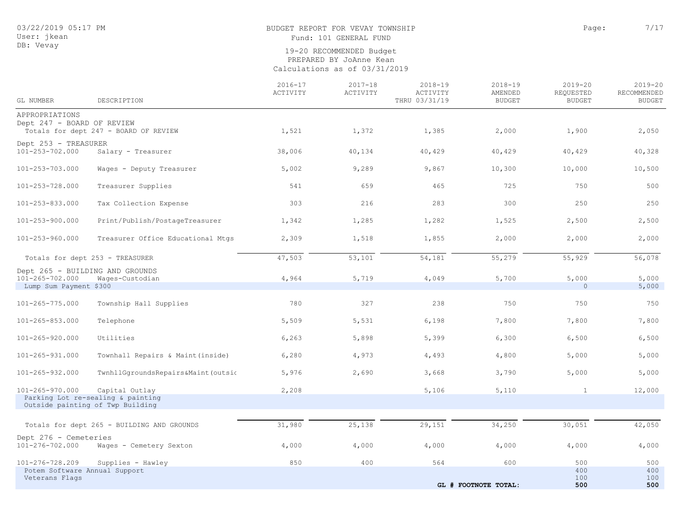## BUDGET REPORT FOR VEVAY TOWNSHIP **Page:**  $7/17$

Fund: 101 GENERAL FUND

| GL NUMBER                                       | DESCRIPTION                                                           | $2016 - 17$<br>ACTIVITY | $2017 - 18$<br>ACTIVITY | $2018 - 19$<br>ACTIVITY<br>THRU 03/31/19 | $2018 - 19$<br>AMENDED<br><b>BUDGET</b> | $2019 - 20$<br>REQUESTED<br><b>BUDGET</b> | $2019 - 20$<br>RECOMMENDED<br><b>BUDGET</b> |
|-------------------------------------------------|-----------------------------------------------------------------------|-------------------------|-------------------------|------------------------------------------|-----------------------------------------|-------------------------------------------|---------------------------------------------|
|                                                 |                                                                       |                         |                         |                                          |                                         |                                           |                                             |
| APPROPRIATIONS<br>Dept 247 - BOARD OF REVIEW    |                                                                       |                         |                         |                                          |                                         |                                           |                                             |
|                                                 | Totals for dept 247 - BOARD OF REVIEW                                 | 1,521                   | 1,372                   | 1,385                                    | 2,000                                   | 1,900                                     | 2,050                                       |
| Dept 253 - TREASURER                            |                                                                       |                         |                         |                                          |                                         |                                           |                                             |
| 101-253-702.000                                 | Salary - Treasurer                                                    | 38,006                  | 40,134                  | 40,429                                   | 40,429                                  | 40,429                                    | 40,328                                      |
| 101-253-703.000                                 | Wages - Deputy Treasurer                                              | 5,002                   | 9,289                   | 9,867                                    | 10,300                                  | 10,000                                    | 10,500                                      |
| 101-253-728.000                                 | Treasurer Supplies                                                    | 541                     | 659                     | 465                                      | 725                                     | 750                                       | 500                                         |
| 101-253-833.000                                 | Tax Collection Expense                                                | 303                     | 216                     | 283                                      | 300                                     | 250                                       | 250                                         |
| 101-253-900.000                                 | Print/Publish/PostageTreasurer                                        | 1,342                   | 1,285                   | 1,282                                    | 1,525                                   | 2,500                                     | 2,500                                       |
| 101-253-960.000                                 | Treasurer Office Educational Mtgs                                     | 2,309                   | 1,518                   | 1,855                                    | 2,000                                   | 2,000                                     | 2,000                                       |
|                                                 | Totals for dept 253 - TREASURER                                       | 47,503                  | 53,101                  | 54,181                                   | 55,279                                  | 55,929                                    | 56,078                                      |
| $101 - 265 - 702.000$                           | Dept 265 - BUILDING AND GROUNDS<br>Wages-Custodian                    | 4,964                   | 5,719                   | 4,049                                    | 5,700                                   | 5,000                                     | 5,000                                       |
| Lump Sum Payment \$300                          |                                                                       |                         |                         |                                          |                                         | $\circ$                                   | 5,000                                       |
|                                                 |                                                                       |                         |                         |                                          |                                         |                                           |                                             |
| 101-265-775.000                                 | Township Hall Supplies                                                | 780                     | 327                     | 238                                      | 750                                     | 750                                       | 750                                         |
| $101 - 265 - 853.000$                           | Telephone                                                             | 5,509                   | 5,531                   | 6,198                                    | 7,800                                   | 7,800                                     | 7,800                                       |
| $101 - 265 - 920.000$                           | Utilities                                                             | 6,263                   | 5,898                   | 5,399                                    | 6,300                                   | 6,500                                     | 6,500                                       |
| 101-265-931.000                                 | Townhall Repairs & Maint (inside)                                     | 6,280                   | 4,973                   | 4,493                                    | 4,800                                   | 5,000                                     | 5,000                                       |
| 101-265-932.000                                 | TwnhllGgroundsRepairs&Maint(outsio                                    | 5,976                   | 2,690                   | 3,668                                    | 3,790                                   | 5,000                                     | 5,000                                       |
| 101-265-970.000                                 | Capital Outlay                                                        | 2,208                   |                         | 5,106                                    | 5,110                                   | $\mathbf{1}$                              | 12,000                                      |
|                                                 | Parking Lot re-sealing & painting<br>Outside painting of Twp Building |                         |                         |                                          |                                         |                                           |                                             |
|                                                 |                                                                       |                         |                         |                                          |                                         |                                           |                                             |
|                                                 | Totals for dept 265 - BUILDING AND GROUNDS                            | 31,980                  | 25,138                  | 29,151                                   | 34,250                                  | 30,051                                    | 42,050                                      |
| Dept 276 - Cemeteries<br>101-276-702.000        | Wages - Cemetery Sexton                                               | 4,000                   | 4,000                   | 4,000                                    | 4,000                                   | 4,000                                     | 4,000                                       |
| 101-276-728.209                                 | Supplies - Hawley                                                     | 850                     | 400                     | 564                                      | 600                                     | 500                                       | 500                                         |
| Potem Software Annual Support<br>Veterans Flags |                                                                       |                         |                         |                                          |                                         | 400<br>100                                | 400<br>100                                  |
|                                                 |                                                                       |                         |                         |                                          | GL # FOOTNOTE TOTAL:                    | 500                                       | 500                                         |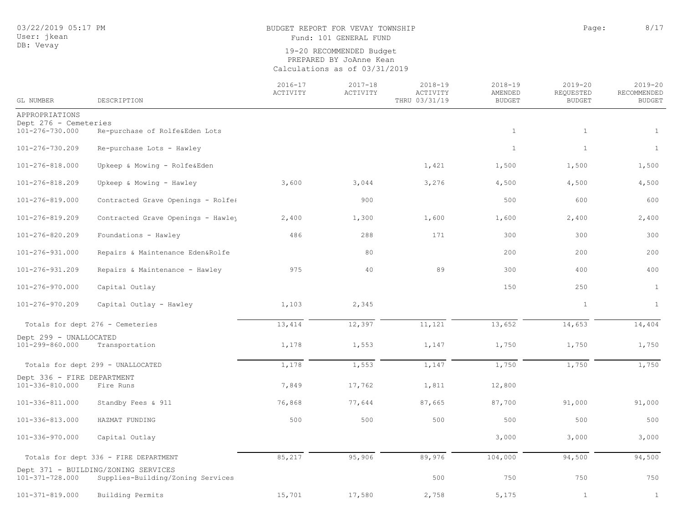## BUDGET REPORT FOR VEVAY TOWNSHIP CONDUCTED AND RAGE: 8/17 Fund: 101 GENERAL FUND

| GL NUMBER                                     | DESCRIPTION                                                              | $2016 - 17$<br>ACTIVITY | $2017 - 18$<br>ACTIVITY | $2018 - 19$<br>ACTIVITY<br>THRU 03/31/19 | $2018 - 19$<br>AMENDED<br><b>BUDGET</b> | $2019 - 20$<br>REQUESTED<br><b>BUDGET</b> | $2019 - 20$<br>RECOMMENDED<br><b>BUDGET</b> |
|-----------------------------------------------|--------------------------------------------------------------------------|-------------------------|-------------------------|------------------------------------------|-----------------------------------------|-------------------------------------------|---------------------------------------------|
| APPROPRIATIONS                                |                                                                          |                         |                         |                                          |                                         |                                           |                                             |
| Dept 276 - Cemeteries<br>101-276-730.000      | Re-purchase of Rolfe&Eden Lots                                           |                         |                         |                                          | $\mathbf{1}$                            | $\mathbf{1}$                              | $\mathbf{1}$                                |
| 101-276-730.209                               | Re-purchase Lots - Hawley                                                |                         |                         |                                          | $\mathbf{1}$                            | $\mathbf{1}$                              | $\mathbf{1}$                                |
| 101-276-818.000                               | Upkeep & Mowing - Rolfe&Eden                                             |                         |                         | 1,421                                    | 1,500                                   | 1,500                                     | 1,500                                       |
| 101-276-818.209                               | Upkeep & Mowing - Hawley                                                 | 3,600                   | 3,044                   | 3,276                                    | 4,500                                   | 4,500                                     | 4,500                                       |
| 101-276-819.000                               | Contracted Grave Openings - Rolfe&                                       |                         | 900                     |                                          | 500                                     | 600                                       | 600                                         |
| 101-276-819.209                               | Contracted Grave Openings - Hawley                                       | 2,400                   | 1,300                   | 1,600                                    | 1,600                                   | 2,400                                     | 2,400                                       |
| 101-276-820.209                               | Foundations - Hawley                                                     | 486                     | 288                     | 171                                      | 300                                     | 300                                       | 300                                         |
| 101-276-931.000                               | Repairs & Maintenance Eden&Rolfe                                         |                         | 80                      |                                          | 200                                     | 200                                       | 200                                         |
| 101-276-931.209                               | Repairs & Maintenance - Hawley                                           | 975                     | 40                      | 89                                       | 300                                     | 400                                       | 400                                         |
| 101-276-970.000                               | Capital Outlay                                                           |                         |                         |                                          | 150                                     | 250                                       | $\mathbf{1}$                                |
| 101-276-970.209                               | Capital Outlay - Hawley                                                  | 1,103                   | 2,345                   |                                          |                                         | $\mathbf{1}$                              | $\mathbf{1}$                                |
|                                               | Totals for dept 276 - Cemeteries                                         | 13,414                  | 12,397                  | 11,121                                   | 13,652                                  | 14,653                                    | 14,404                                      |
| Dept 299 - UNALLOCATED<br>101-299-860.000     | Transportation                                                           | 1,178                   | 1,553                   | 1,147                                    | 1,750                                   | 1,750                                     | 1,750                                       |
|                                               | Totals for dept 299 - UNALLOCATED                                        | 1,178                   | 1,553                   | 1,147                                    | 1,750                                   | 1,750                                     | 1,750                                       |
| Dept 336 - FIRE DEPARTMENT<br>101-336-810.000 | Fire Runs                                                                | 7,849                   | 17,762                  | 1,811                                    | 12,800                                  |                                           |                                             |
| 101-336-811.000                               | Standby Fees & 911                                                       | 76,868                  | 77,644                  | 87,665                                   | 87,700                                  | 91,000                                    | 91,000                                      |
| 101-336-813.000                               | HAZMAT FUNDING                                                           | 500                     | 500                     | 500                                      | 500                                     | 500                                       | 500                                         |
| 101-336-970.000                               | Capital Outlay                                                           |                         |                         |                                          | 3,000                                   | 3,000                                     | 3,000                                       |
|                                               | Totals for dept 336 - FIRE DEPARTMENT                                    | 85,217                  | 95,906                  | 89,976                                   | 104,000                                 | 94,500                                    | 94,500                                      |
| 101-371-728.000                               | Dept 371 - BUILDING/ZONING SERVICES<br>Supplies-Building/Zoning Services |                         |                         | 500                                      | 750                                     | 750                                       | 750                                         |
| $101 - 371 - 819.000$                         | Building Permits                                                         | 15,701                  | 17,580                  | 2,758                                    | 5,175                                   | $\mathbf{1}$                              | $\mathbf{1}$                                |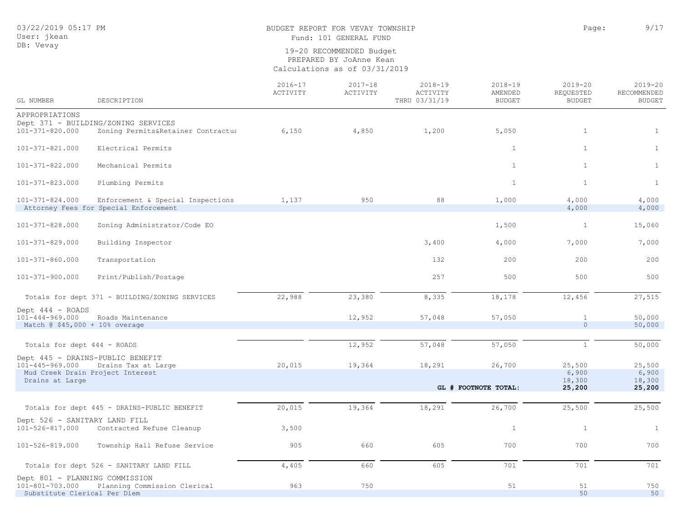## BUDGET REPORT FOR VEVAY TOWNSHIP **Page:** 9/17 Fund: 101 GENERAL FUND

| GL NUMBER                                                                         | DESCRIPTION                                                                | $2016 - 17$<br>ACTIVITY | $2017 - 18$<br>ACTIVITY | $2018 - 19$<br>ACTIVITY<br>THRU 03/31/19 | $2018 - 19$<br>AMENDED<br><b>BUDGET</b> | $2019 - 20$<br>REQUESTED<br><b>BUDGET</b> | $2019 - 20$<br>RECOMMENDED<br><b>BUDGET</b> |
|-----------------------------------------------------------------------------------|----------------------------------------------------------------------------|-------------------------|-------------------------|------------------------------------------|-----------------------------------------|-------------------------------------------|---------------------------------------------|
| APPROPRIATIONS                                                                    |                                                                            |                         |                         |                                          |                                         |                                           |                                             |
|                                                                                   | Dept 371 - BUILDING/ZONING SERVICES                                        |                         |                         |                                          |                                         |                                           |                                             |
| 101-371-820.000                                                                   | Zoning Permits&Retainer Contractua                                         | 6,150                   | 4,850                   | 1,200                                    | 5,050                                   | $\mathbf{1}$                              | $\mathbf{1}$                                |
| 101-371-821.000                                                                   | Electrical Permits                                                         |                         |                         |                                          | $\mathbf{1}$                            | $\mathbf{1}$                              | $\mathbf{1}$                                |
| 101-371-822.000                                                                   | Mechanical Permits                                                         |                         |                         |                                          | 1                                       | $\mathbf{1}$                              | $\mathbf{1}$                                |
| 101-371-823.000                                                                   | Plumbing Permits                                                           |                         |                         |                                          | $\mathbf{1}$                            | $\mathbf{1}$                              | $\mathbf{1}$                                |
| 101-371-824.000                                                                   | Enforcement & Special Inspections<br>Attorney Fees for Special Enforcement | 1,137                   | 950                     | 88                                       | 1,000                                   | 4,000<br>4,000                            | 4,000<br>4,000                              |
| 101-371-828.000                                                                   | Zoning Administrator/Code EO                                               |                         |                         |                                          | 1,500                                   | $\mathbf{1}$                              | 15,060                                      |
| 101-371-829.000                                                                   | Building Inspector                                                         |                         |                         | 3,400                                    | 4,000                                   | 7,000                                     | 7,000                                       |
| 101-371-860.000                                                                   | Transportation                                                             |                         |                         | 132                                      | 200                                     | 200                                       | 200                                         |
| 101-371-900.000                                                                   | Print/Publish/Postage                                                      |                         |                         | 257                                      | 500                                     | 500                                       | 500                                         |
|                                                                                   | Totals for dept 371 - BUILDING/ZONING SERVICES                             | 22,988                  | 23,380                  | 8,335                                    | 18,178                                  | 12,456                                    | 27,515                                      |
| Dept 444 - ROADS<br>$101 - 444 - 969.000$<br>Match @ \$45,000 + 10% overage       | Roads Maintenance                                                          |                         | 12,952                  | 57,048                                   | 57,050                                  | $\mathbf{1}$<br>$\circ$                   | 50,000<br>50,000                            |
|                                                                                   |                                                                            |                         |                         |                                          |                                         |                                           |                                             |
| Totals for dept 444 - ROADS                                                       |                                                                            |                         | 12,952                  | 57,048                                   | 57,050                                  | $\mathbf{1}$                              | 50,000                                      |
|                                                                                   | Dept 445 - DRAINS-PUBLIC BENEFIT                                           |                         |                         |                                          |                                         |                                           |                                             |
| $101 - 445 - 969.000$                                                             | Drains Tax at Large                                                        | 20,015                  | 19,364                  | 18,291                                   | 26,700                                  | 25,500                                    | 25,500                                      |
| Drains at Large                                                                   | Mud Creek Drain Project Interest                                           |                         |                         |                                          |                                         | 6,900<br>18,300                           | 6,900<br>18,300                             |
|                                                                                   |                                                                            |                         |                         |                                          | GL # FOOTNOTE TOTAL:                    | 25,200                                    | 25,200                                      |
|                                                                                   |                                                                            |                         |                         |                                          |                                         |                                           |                                             |
|                                                                                   | Totals for dept 445 - DRAINS-PUBLIC BENEFIT                                | 20,015                  | 19,364                  | 18,291                                   | 26,700                                  | 25,500                                    | 25,500                                      |
| Dept 526 - SANITARY LAND FILL<br>101-526-817.000                                  | Contracted Refuse Cleanup                                                  | 3,500                   |                         |                                          | $\,$ 1                                  | $1\,$                                     | $\mathbf{1}$                                |
| 101-526-819.000                                                                   | Township Hall Refuse Service                                               | 905                     | 660                     | 605                                      | 700                                     | 700                                       | 700                                         |
|                                                                                   | Totals for dept 526 - SANITARY LAND FILL                                   | 4,405                   | 660                     | 605                                      | 701                                     | 701                                       | 701                                         |
| Dept 801 - PLANNING COMMISSION<br>101-801-703.000<br>Substitute Clerical Per Diem | Planning Commission Clerical                                               | 963                     | 750                     |                                          | 51                                      | 51<br>50                                  | 750<br>50                                   |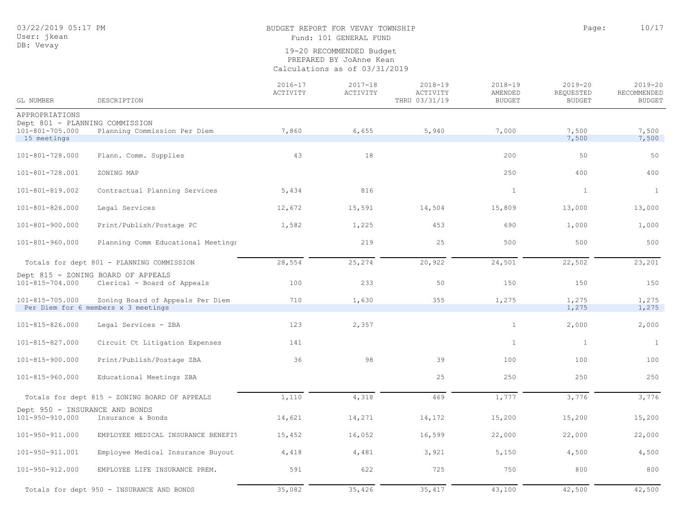## BUDGET REPORT FOR VEVAY TOWNSHIP **Page:** 10/17

Fund: 101 GENERAL FUND

| GL NUMBER                                               | DESCRIPTION                                                             | $2016 - 17$<br>ACTIVITY | $2017 - 18$<br>ACTIVITY | $2018 - 19$<br>ACTIVITY<br>THRU 03/31/19 | $2018 - 19$<br>AMENDED<br><b>BUDGET</b> | $2019 - 20$<br>REQUESTED<br><b>BUDGET</b> | $2019 - 20$<br>RECOMMENDED<br><b>BUDGET</b> |
|---------------------------------------------------------|-------------------------------------------------------------------------|-------------------------|-------------------------|------------------------------------------|-----------------------------------------|-------------------------------------------|---------------------------------------------|
| APPROPRIATIONS                                          |                                                                         |                         |                         |                                          |                                         |                                           |                                             |
| Dept 801 - PLANNING COMMISSION<br>$101 - 801 - 705.000$ | Planning Commission Per Diem                                            | 7,860                   | 6,655                   | 5,940                                    | 7,000                                   | 7,500                                     | 7,500                                       |
| 15 meetings                                             |                                                                         |                         |                         |                                          |                                         | 7,500                                     | 7,500                                       |
| $101 - 801 - 728.000$                                   | Plann. Comm. Supplies                                                   | 43                      | 18                      |                                          | 200                                     | 50                                        | 50                                          |
| 101-801-728.001                                         | ZONING MAP                                                              |                         |                         |                                          | 250                                     | 400                                       | 400                                         |
| 101-801-819.002                                         | Contractual Planning Services                                           | 5,434                   | 816                     |                                          | 1                                       | $\mathbf{1}$                              | $\mathbf{1}$                                |
| 101-801-826.000                                         | Legal Services                                                          | 12,672                  | 15,591                  | 14,504                                   | 15,809                                  | 13,000                                    | 13,000                                      |
| 101-801-900.000                                         | Print/Publish/Postage PC                                                | 1,582                   | 1,225                   | 453                                      | 690                                     | 1,000                                     | 1,000                                       |
| 101-801-960.000                                         | Planning Comm Educational Meetings                                      |                         | 219                     | 25                                       | 500                                     | 500                                       | 500                                         |
|                                                         | Totals for dept 801 - PLANNING COMMISSION                               | 28,554                  | 25,274                  | 20,922                                   | 24,501                                  | 22,502                                    | 23,201                                      |
| 101-815-704.000                                         | Dept 815 - ZONING BOARD OF APPEALS<br>Clerical - Board of Appeals       | 100                     | 233                     | 50                                       | 150                                     | 150                                       | 150                                         |
| 101-815-705.000                                         | Zoning Board of Appeals Per Diem<br>Per Diem for 6 members x 3 meetings | 710                     | 1,630                   | 355                                      | 1,275                                   | 1,275<br>1,275                            | 1,275<br>1,275                              |
|                                                         |                                                                         |                         |                         |                                          |                                         |                                           |                                             |
| 101-815-826.000                                         | Legal Services - ZBA                                                    | 123                     | 2,357                   |                                          | 1                                       | 2,000                                     | 2,000                                       |
| 101-815-827.000                                         | Circuit Ct Litigation Expenses                                          | 141                     |                         |                                          | 1                                       | $\mathbf{1}$                              | 1                                           |
| 101-815-900.000                                         | Print/Publish/Postage ZBA                                               | 36                      | 98                      | 39                                       | 100                                     | 100                                       | 100                                         |
| 101-815-960.000                                         | Educational Meetings ZBA                                                |                         |                         | 25                                       | 250                                     | 250                                       | 250                                         |
|                                                         | Totals for dept 815 - ZONING BOARD OF APPEALS                           | 1,110                   | 4,318                   | 469                                      | 1,777                                   | 3,776                                     | 3,776                                       |
| Dept 950 - INSURANCE AND BONDS<br>101-950-910.000       | Insurance & Bonds                                                       | 14,621                  | 14,271                  | 14,172                                   | 15,200                                  | 15,200                                    | 15,200                                      |
| 101-950-911.000                                         | EMPLOYEE MEDICAL INSURANCE BENEFIT                                      | 15,452                  | 16,052                  | 16,599                                   | 22,000                                  | 22,000                                    | 22,000                                      |
| 101-950-911.001                                         | Employee Medical Insurance Buyout                                       | 4,418                   | 4,481                   | 3,921                                    | 5,150                                   | 4,500                                     | 4,500                                       |
| 101-950-912.000                                         | EMPLOYEE LIFE INSURANCE PREM.                                           | 591                     | 622                     | 725                                      | 750                                     | 800                                       | 800                                         |
|                                                         | Totals for dept 950 - INSURANCE AND BONDS                               | 35,082                  | 35,426                  | 35,417                                   | 43,100                                  | 42,500                                    | 42,500                                      |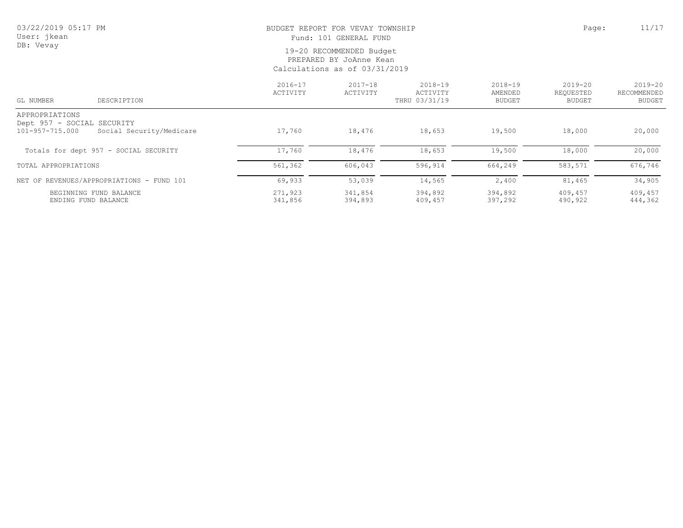# BUDGET REPORT FOR VEVAY TOWNSHIP **Page:** 11/17

Fund: 101 GENERAL FUND

| GL NUMBER                                                       | DESCRIPTION                               | $2016 - 17$<br>ACTIVITY | $2017 - 18$<br>ACTIVITY | $2018 - 19$<br>ACTIVITY<br>THRU 03/31/19 | $2018 - 19$<br>AMENDED<br><b>BUDGET</b> | 2019-20<br>REQUESTED<br>BUDGET | $2019 - 20$<br>RECOMMENDED<br>BUDGET |
|-----------------------------------------------------------------|-------------------------------------------|-------------------------|-------------------------|------------------------------------------|-----------------------------------------|--------------------------------|--------------------------------------|
| APPROPRIATIONS<br>Dept 957 - SOCIAL SECURITY<br>101-957-715.000 | Social Security/Medicare                  | 17,760                  | 18,476                  | 18,653                                   | 19,500                                  | 18,000                         | 20,000                               |
|                                                                 | Totals for dept 957 - SOCIAL SECURITY     | 17,760                  | 18,476                  | 18,653                                   | 19,500                                  | 18,000                         | 20,000                               |
| TOTAL APPROPRIATIONS                                            |                                           | 561,362                 | 606,043                 | 596,914                                  | 664,249                                 | 583,571                        | 676,746                              |
|                                                                 | NET OF REVENUES/APPROPRIATIONS - FUND 101 | 69,933                  | 53,039                  | 14,565                                   | 2,400                                   | 81,465                         | 34,905                               |
| ENDING FUND BALANCE                                             | BEGINNING FUND BALANCE                    | 271,923<br>341,856      | 341,854<br>394,893      | 394,892<br>409,457                       | 394,892<br>397,292                      | 409,457<br>490,922             | 409,457<br>444,362                   |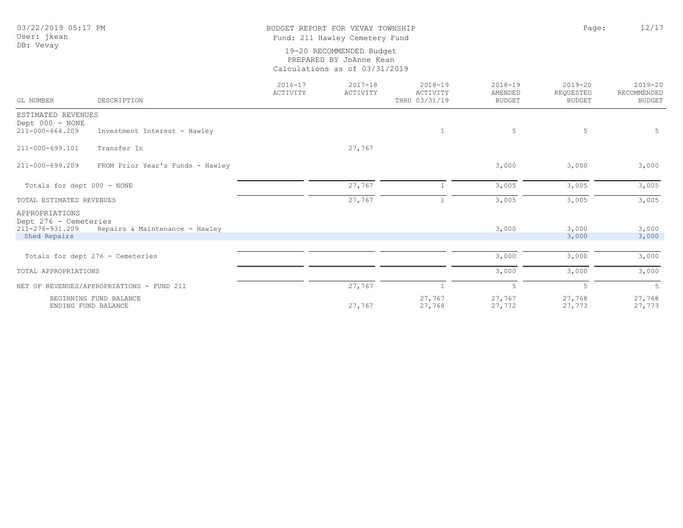## BUDGET REPORT FOR VEVAY TOWNSHIP **Page:** 12/17 Fund: 211 Hawley Cemetery Fund

| GL NUMBER                                                  | DESCRIPTION                                   | $2016 - 17$<br>ACTIVITY | $2017 - 18$<br>ACTIVITY | $2018 - 19$<br>ACTIVITY<br>THRU 03/31/19 | $2018 - 19$<br>AMENDED<br><b>BUDGET</b> | $2019 - 20$<br>REQUESTED<br><b>BUDGET</b> | $2019 - 20$<br>RECOMMENDED<br><b>BUDGET</b> |
|------------------------------------------------------------|-----------------------------------------------|-------------------------|-------------------------|------------------------------------------|-----------------------------------------|-------------------------------------------|---------------------------------------------|
| ESTIMATED REVENUES                                         |                                               |                         |                         |                                          |                                         |                                           |                                             |
| Dept 000 - NONE<br>211-000-664.209                         | Investment Interest - Hawley                  |                         |                         | $\mathbf{1}$                             | 5                                       | 5                                         | 5                                           |
|                                                            |                                               |                         |                         |                                          |                                         |                                           |                                             |
| 211-000-699.101                                            | Transfer In                                   |                         | 27,767                  |                                          |                                         |                                           |                                             |
| 211-000-699.209                                            | FROM Prior Year's Funds - Hawley              |                         |                         |                                          | 3,000                                   | 3,000                                     | 3,000                                       |
| Totals for dept 000 - NONE                                 |                                               |                         | 27,767                  |                                          | 3,005                                   | 3,005                                     | 3,005                                       |
| TOTAL ESTIMATED REVENUES                                   |                                               |                         | 27,767                  |                                          | 3,005                                   | 3,005                                     | 3,005                                       |
| APPROPRIATIONS<br>Dept 276 - Cemeteries<br>211-276-931.209 | Repairs & Maintenance - Hawley                |                         |                         |                                          | 3,000                                   | 3,000                                     | 3,000                                       |
| Shed Repairs                                               |                                               |                         |                         |                                          |                                         | 3,000                                     | 3,000                                       |
|                                                            |                                               |                         |                         |                                          |                                         |                                           |                                             |
|                                                            | Totals for dept 276 - Cemeteries              |                         |                         |                                          | 3,000                                   | 3,000                                     | 3,000                                       |
| TOTAL APPROPRIATIONS                                       |                                               |                         |                         |                                          | 3,000                                   | 3,000                                     | 3,000                                       |
|                                                            | NET OF REVENUES/APPROPRIATIONS - FUND 211     |                         | 27,767                  |                                          | 5                                       | 5                                         | $\overline{5}$                              |
|                                                            | BEGINNING FUND BALANCE<br>ENDING FUND BALANCE |                         | 27,767                  | 27,767<br>27,768                         | 27,767<br>27,772                        | 27,768<br>27,773                          | 27,768<br>27,773                            |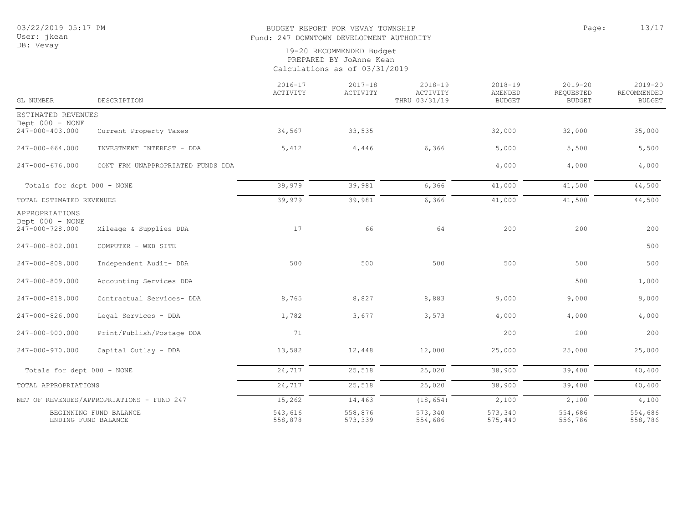## BUDGET REPORT FOR VEVAY TOWNSHIP **Page:** 13/17 Fund: 247 DOWNTOWN DEVELOPMENT AUTHORITY

| GL NUMBER                                            | DESCRIPTION                               | $2016 - 17$<br>ACTIVITY | $2017 - 18$<br>ACTIVITY | 2018-19<br>ACTIVITY<br>THRU 03/31/19 | $2018 - 19$<br>AMENDED<br><b>BUDGET</b> | $2019 - 20$<br>REQUESTED<br><b>BUDGET</b> | $2019 - 20$<br>RECOMMENDED<br><b>BUDGET</b> |
|------------------------------------------------------|-------------------------------------------|-------------------------|-------------------------|--------------------------------------|-----------------------------------------|-------------------------------------------|---------------------------------------------|
| ESTIMATED REVENUES                                   |                                           |                         |                         |                                      |                                         |                                           |                                             |
| Dept 000 - NONE<br>247-000-403.000                   | Current Property Taxes                    | 34,567                  | 33,535                  |                                      | 32,000                                  | 32,000                                    | 35,000                                      |
| 247-000-664.000                                      | INVESTMENT INTEREST - DDA                 | 5,412                   | 6,446                   | 6,366                                | 5,000                                   | 5,500                                     | 5,500                                       |
| 247-000-676.000                                      | CONT FRM UNAPPROPRIATED FUNDS DDA         |                         |                         |                                      | 4,000                                   | 4,000                                     | 4,000                                       |
| Totals for dept 000 - NONE                           |                                           | 39,979                  | 39,981                  | 6,366                                | 41,000                                  | 41,500                                    | 44,500                                      |
| TOTAL ESTIMATED REVENUES                             |                                           | 39,979                  | 39,981                  | 6,366                                | 41,000                                  | 41,500                                    | 44,500                                      |
| APPROPRIATIONS<br>Dept 000 - NONE<br>247-000-728.000 | Mileage & Supplies DDA                    | 17                      | 66                      | 64                                   | 200                                     | 200                                       | 200                                         |
| 247-000-802.001                                      | COMPUTER - WEB SITE                       |                         |                         |                                      |                                         |                                           | 500                                         |
| 247-000-808.000                                      | Independent Audit- DDA                    | 500                     | 500                     | 500                                  | 500                                     | 500                                       | 500                                         |
| 247-000-809.000                                      | Accounting Services DDA                   |                         |                         |                                      |                                         | 500                                       | 1,000                                       |
| 247-000-818.000                                      | Contractual Services- DDA                 | 8,765                   | 8,827                   | 8,883                                | 9,000                                   | 9,000                                     | 9,000                                       |
| 247-000-826.000                                      | Legal Services - DDA                      | 1,782                   | 3,677                   | 3,573                                | 4,000                                   | 4,000                                     | 4,000                                       |
| 247-000-900.000                                      | Print/Publish/Postage DDA                 | 71                      |                         |                                      | 200                                     | 200                                       | 200                                         |
| 247-000-970.000                                      | Capital Outlay - DDA                      | 13,582                  | 12,448                  | 12,000                               | 25,000                                  | 25,000                                    | 25,000                                      |
| Totals for dept 000 - NONE                           |                                           | 24,717                  | 25,518                  | 25,020                               | 38,900                                  | 39,400                                    | 40,400                                      |
| TOTAL APPROPRIATIONS                                 |                                           | 24,717                  | 25,518                  | 25,020                               | 38,900                                  | 39,400                                    | 40,400                                      |
|                                                      | NET OF REVENUES/APPROPRIATIONS - FUND 247 | 15,262                  | 14,463                  | (18, 654)                            | 2,100                                   | 2,100                                     | 4,100                                       |
| BEGINNING FUND BALANCE<br>ENDING FUND BALANCE        |                                           | 543,616<br>558,878      | 558,876<br>573,339      | 573,340<br>554,686                   | 573,340<br>575,440                      | 554,686<br>556,786                        | 554,686<br>558,786                          |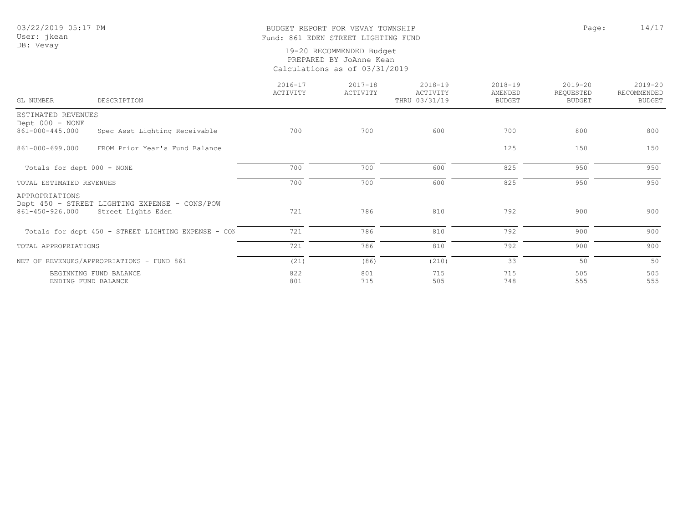## BUDGET REPORT FOR VEVAY TOWNSHIP CONSTRUCTED AND RAGE: 14/17 Fund: 861 EDEN STREET LIGHTING FUND

| GL NUMBER                                 | DESCRIPTION                                                         | $2016 - 17$<br>ACTIVITY | $2017 - 18$<br>ACTIVITY | $2018 - 19$<br>ACTIVITY<br>THRU 03/31/19 | $2018 - 19$<br>AMENDED<br><b>BUDGET</b> | $2019 - 20$<br>REQUESTED<br><b>BUDGET</b> | $2019 - 20$<br>RECOMMENDED<br><b>BUDGET</b> |
|-------------------------------------------|---------------------------------------------------------------------|-------------------------|-------------------------|------------------------------------------|-----------------------------------------|-------------------------------------------|---------------------------------------------|
| ESTIMATED REVENUES<br>Dept 000 - NONE     |                                                                     |                         |                         |                                          |                                         |                                           |                                             |
| 861-000-445.000                           | Spec Asst Lighting Receivable                                       | 700                     | 700                     | 600                                      | 700                                     | 800                                       | 800                                         |
| 861-000-699.000                           | FROM Prior Year's Fund Balance                                      |                         |                         |                                          | 125                                     | 150                                       | 150                                         |
| Totals for dept 000 - NONE                |                                                                     | 700                     | 700                     | 600                                      | 825                                     | 950                                       | 950                                         |
| TOTAL ESTIMATED REVENUES                  |                                                                     | 700                     | 700                     | 600                                      | 825                                     | 950                                       | 950                                         |
| APPROPRIATIONS<br>861-450-926.000         | Dept 450 - STREET LIGHTING EXPENSE - CONS/POW<br>Street Lights Eden | 721                     | 786                     | 810                                      | 792                                     | 900                                       | 900                                         |
|                                           | Totals for dept 450 - STREET LIGHTING EXPENSE - CON                 | 721                     | 786                     | 810                                      | 792                                     | 900                                       | 900                                         |
| TOTAL APPROPRIATIONS                      |                                                                     | 721                     | 786                     | 810                                      | 792                                     | 900                                       | 900                                         |
| NET OF REVENUES/APPROPRIATIONS - FUND 861 |                                                                     | (21)                    | (86)                    | (210)                                    | 33                                      | 50                                        | 50                                          |
| ENDING FUND BALANCE                       | BEGINNING FUND BALANCE                                              | 822<br>801              | 801<br>715              | 715<br>505                               | 715<br>748                              | 505<br>555                                | 505<br>555                                  |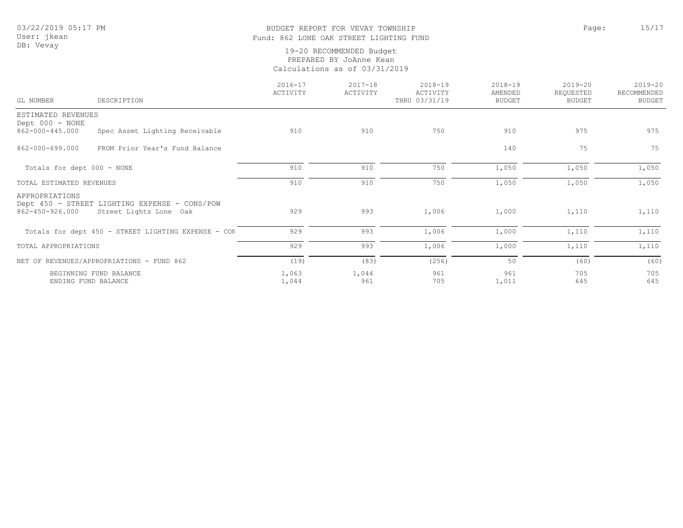## BUDGET REPORT FOR VEVAY TOWNSHIP PAGE: 15/17 Fund: 862 LONE OAK STREET LIGHTING FUND

| GL NUMBER                                 | DESCRIPTION                                                             | $2016 - 17$<br>ACTIVITY | $2017 - 18$<br>ACTIVITY | $2018 - 19$<br>ACTIVITY<br>THRU 03/31/19 | $2018 - 19$<br>AMENDED<br><b>BUDGET</b> | $2019 - 20$<br>REQUESTED<br><b>BUDGET</b> | $2019 - 20$<br>RECOMMENDED<br><b>BUDGET</b> |
|-------------------------------------------|-------------------------------------------------------------------------|-------------------------|-------------------------|------------------------------------------|-----------------------------------------|-------------------------------------------|---------------------------------------------|
| ESTIMATED REVENUES                        |                                                                         |                         |                         |                                          |                                         |                                           |                                             |
| Dept 000 - NONE                           |                                                                         |                         |                         |                                          |                                         |                                           |                                             |
| 862-000-445.000                           | Spec Assmt Lighting Receivable                                          | 910                     | 910                     | 750                                      | 910                                     | 975                                       | 975                                         |
| 862-000-699.000                           | FROM Prior Year's Fund Balance                                          |                         |                         |                                          | 140                                     | 75                                        | 75                                          |
| Totals for dept 000 - NONE                |                                                                         | 910                     | 910                     | 750                                      | 1,050                                   | 1,050                                     | 1,050                                       |
| TOTAL ESTIMATED REVENUES                  |                                                                         | 910                     | 910                     | 750                                      | 1,050                                   | 1,050                                     | 1,050                                       |
| APPROPRIATIONS<br>862-450-926.000         | Dept 450 - STREET LIGHTING EXPENSE - CONS/POW<br>Street Lights Lone Oak | 929                     | 993                     | 1,006                                    | 1,000                                   | 1,110                                     | 1,110                                       |
|                                           | Totals for dept 450 - STREET LIGHTING EXPENSE - CON                     | 929                     | 993                     | 1,006                                    | 1,000                                   | 1,110                                     | 1,110                                       |
| TOTAL APPROPRIATIONS                      |                                                                         | 929                     | 993                     | 1,006                                    | 1,000                                   | 1,110                                     | 1,110                                       |
| NET OF REVENUES/APPROPRIATIONS - FUND 862 |                                                                         | (19)                    | (83)                    | (256)                                    | 50                                      | (60)                                      | (60)                                        |
|                                           | BEGINNING FUND BALANCE                                                  | 1,063                   | 1,044                   | 961                                      | 961                                     | 705                                       | 705                                         |
|                                           | ENDING FUND BALANCE                                                     | 1,044                   | 961                     | 705                                      | 1,011                                   | 645                                       | 645                                         |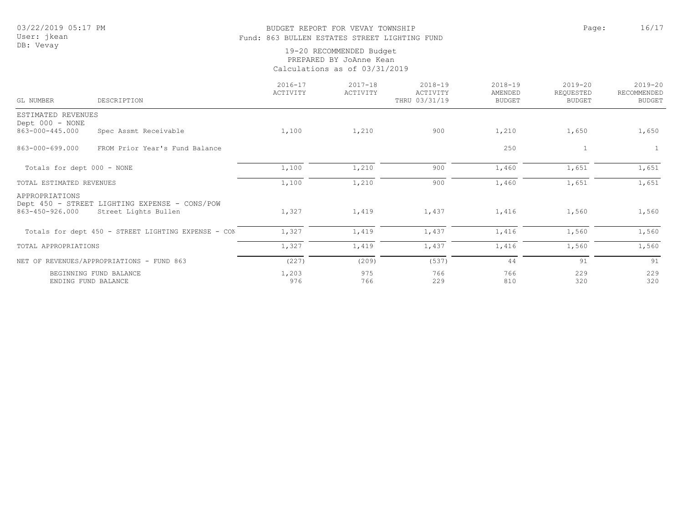## BUDGET REPORT FOR VEVAY TOWNSHIP PAGE AND REPORT TO PAGE 2017 Fund: 863 BULLEN ESTATES STREET LIGHTING FUND

| GL NUMBER                                 | DESCRIPTION                                                           | $2016 - 17$<br>ACTIVITY | $2017 - 18$<br>ACTIVITY | $2018 - 19$<br>ACTIVITY<br>THRU 03/31/19 | $2018 - 19$<br>AMENDED<br><b>BUDGET</b> | $2019 - 20$<br>REQUESTED<br><b>BUDGET</b> | $2019 - 20$<br>RECOMMENDED<br><b>BUDGET</b> |
|-------------------------------------------|-----------------------------------------------------------------------|-------------------------|-------------------------|------------------------------------------|-----------------------------------------|-------------------------------------------|---------------------------------------------|
| ESTIMATED REVENUES<br>Dept 000 - NONE     |                                                                       |                         |                         |                                          |                                         |                                           |                                             |
| 863-000-445.000                           | Spec Assmt Receivable                                                 | 1,100                   | 1,210                   | 900                                      | 1,210                                   | 1,650                                     | 1,650                                       |
| 863-000-699.000                           | FROM Prior Year's Fund Balance                                        |                         |                         |                                          | 250                                     | $\mathbf{1}$                              | $\mathbf{1}$                                |
| Totals for dept 000 - NONE                |                                                                       | 1,100                   | 1,210                   | 900                                      | 1,460                                   | 1,651                                     | 1,651                                       |
| TOTAL ESTIMATED REVENUES                  |                                                                       | 1,100                   | 1,210                   | 900                                      | 1,460                                   | 1,651                                     | 1,651                                       |
| APPROPRIATIONS<br>863-450-926.000         | Dept 450 - STREET LIGHTING EXPENSE - CONS/POW<br>Street Lights Bullen | 1,327                   | 1,419                   | 1,437                                    | 1,416                                   | 1,560                                     | 1,560                                       |
|                                           | Totals for dept 450 - STREET LIGHTING EXPENSE - CON                   | 1,327                   | 1,419                   | 1,437                                    | 1,416                                   | 1,560                                     | 1,560                                       |
| TOTAL APPROPRIATIONS                      |                                                                       | 1,327                   | 1,419                   | 1,437                                    | 1,416                                   | 1,560                                     | 1,560                                       |
| NET OF REVENUES/APPROPRIATIONS - FUND 863 |                                                                       | (227)                   | (209)                   | (537)                                    | 44                                      | 91                                        | 91                                          |
|                                           | BEGINNING FUND BALANCE<br>ENDING FUND BALANCE                         | 1,203<br>976            | 975<br>766              | 766<br>229                               | 766<br>810                              | 229<br>320                                | 229<br>320                                  |